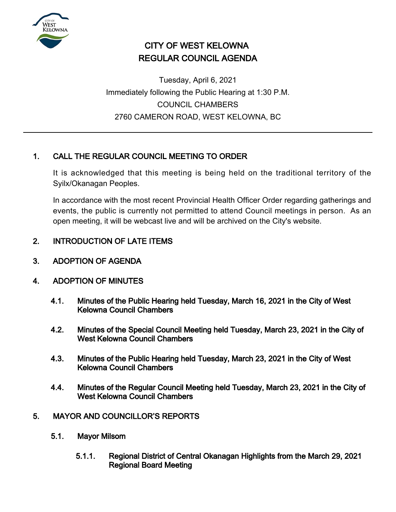

# CITY OF WEST KELOWNA REGULAR COUNCIL AGENDA

Tuesday, April 6, 2021 Immediately following the Public Hearing at 1:30 P.M. COUNCIL CHAMBERS 2760 CAMERON ROAD, WEST KELOWNA, BC

## 1. CALL THE REGULAR COUNCIL MEETING TO ORDER

It is acknowledged that this meeting is being held on the traditional territory of the Syilx/Okanagan Peoples.

In accordance with the most recent Provincial Health Officer Order regarding gatherings and events, the public is currently not permitted to attend Council meetings in person. As an open meeting, it will be webcast live and will be archived on the City's website.

## 2. INTRODUCTION OF LATE ITEMS

3. ADOPTION OF AGENDA

## 4. ADOPTION OF MINUTES

- 4.1. Minutes of the Public Hearing held Tuesday, March 16, 2021 in the City of West Kelowna Council Chambers
- 4.2. Minutes of the Special Council Meeting held Tuesday, March 23, 2021 in the City of West Kelowna Council Chambers
- 4.3. Minutes of the Public Hearing held Tuesday, March 23, 2021 in the City of West Kelowna Council Chambers
- 4.4. Minutes of the Regular Council Meeting held Tuesday, March 23, 2021 in the City of West Kelowna Council Chambers
- 5. MAYOR AND COUNCILLOR'S REPORTS
	- 5.1. Mayor Milsom
		- 5.1.1. Regional District of Central Okanagan Highlights from the March 29, 2021 Regional Board Meeting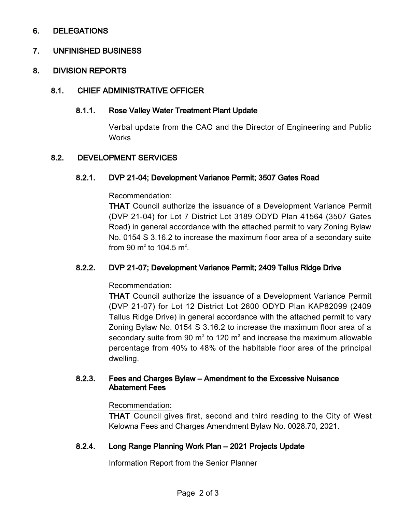## 6. DELEGATIONS

## 7. UNFINISHED BUSINESS

## 8. DIVISION REPORTS

#### 8.1. CHIEF ADMINISTRATIVE OFFICER

#### 8.1.1. Rose Valley Water Treatment Plant Update

Verbal update from the CAO and the Director of Engineering and Public **Works** 

## 8.2. DEVELOPMENT SERVICES

#### 8.2.1. DVP 21-04; Development Variance Permit; 3507 Gates Road

#### Recommendation:

THAT Council authorize the issuance of a Development Variance Permit (DVP 21-04) for Lot 7 District Lot 3189 ODYD Plan 41564 (3507 Gates Road) in general accordance with the attached permit to vary Zoning Bylaw No. 0154 S 3.16.2 to increase the maximum floor area of a secondary suite from 90  $\mathrm{m}^2$  to 104.5  $\mathrm{m}^2$ .

## 8.2.2. DVP 21-07; Development Variance Permit; 2409 Tallus Ridge Drive

#### Recommendation:

THAT Council authorize the issuance of a Development Variance Permit (DVP 21-07) for Lot 12 District Lot 2600 ODYD Plan KAP82099 (2409 Tallus Ridge Drive) in general accordance with the attached permit to vary Zoning Bylaw No. 0154 S 3.16.2 to increase the maximum floor area of a secondary suite from 90 m<sup>2</sup> to 120 m<sup>2</sup> and increase the maximum allowable percentage from 40% to 48% of the habitable floor area of the principal dwelling.

#### 8.2.3. Fees and Charges Bylaw – Amendment to the Excessive Nuisance Abatement Fees

#### Recommendation:

THAT Council gives first, second and third reading to the City of West Kelowna Fees and Charges Amendment Bylaw No. 0028.70, 2021.

#### 8.2.4. Long Range Planning Work Plan – 2021 Projects Update

Information Report from the Senior Planner